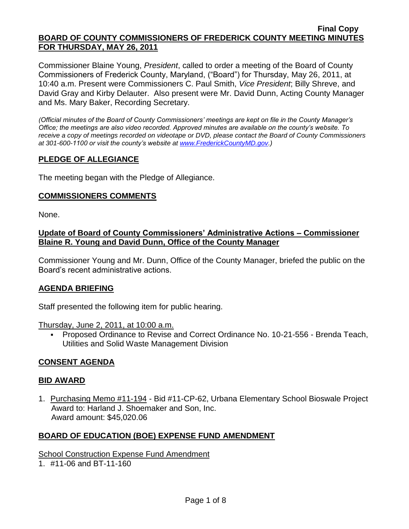Commissioner Blaine Young, *President*, called to order a meeting of the Board of County Commissioners of Frederick County, Maryland, ("Board") for Thursday, May 26, 2011, at 10:40 a.m. Present were Commissioners C. Paul Smith, *Vice President*; Billy Shreve, and David Gray and Kirby Delauter. Also present were Mr. David Dunn, Acting County Manager and Ms. Mary Baker, Recording Secretary.

*(Official minutes of the Board of County Commissioners' meetings are kept on file in the County Manager's Office; the meetings are also video recorded. Approved minutes are available on the county's website. To receive a copy of meetings recorded on videotape or DVD, please contact the Board of County Commissioners at 301-600-1100 or visit the county's website at [www.FrederickCountyMD.gov.](http://www.frederickcountymd.gov/))*

## **PLEDGE OF ALLEGIANCE**

The meeting began with the Pledge of Allegiance.

### **COMMISSIONERS COMMENTS**

None.

### **Update of Board of County Commissioners' Administrative Actions – Commissioner Blaine R. Young and David Dunn, Office of the County Manager**

Commissioner Young and Mr. Dunn, Office of the County Manager, briefed the public on the Board's recent administrative actions.

### **AGENDA BRIEFING**

Staff presented the following item for public hearing.

Thursday, June 2, 2011, at 10:00 a.m.

**Proposed Ordinance to Revise and Correct Ordinance No. 10-21-556 - Brenda Teach,** Utilities and Solid Waste Management Division

### **CONSENT AGENDA**

### **BID AWARD**

1. Purchasing Memo #11-194 - Bid #11-CP-62, Urbana Elementary School Bioswale Project Award to: Harland J. Shoemaker and Son, Inc. Award amount: \$45,020.06

### **BOARD OF EDUCATION (BOE) EXPENSE FUND AMENDMENT**

**School Construction Expense Fund Amendment** 

1. #11-06 and BT-11-160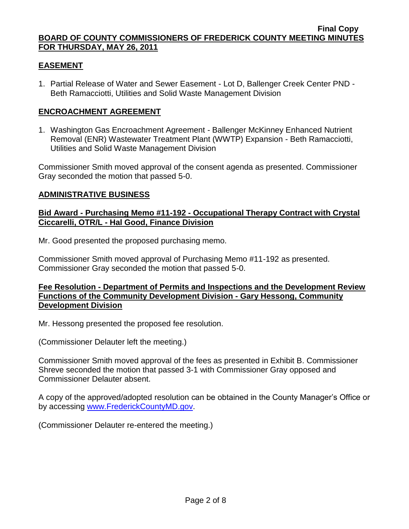### **EASEMENT**

1. Partial Release of Water and Sewer Easement - Lot D, Ballenger Creek Center PND - Beth Ramacciotti, Utilities and Solid Waste Management Division

### **ENCROACHMENT AGREEMENT**

1. Washington Gas Encroachment Agreement - Ballenger McKinney Enhanced Nutrient Removal (ENR) Wastewater Treatment Plant (WWTP) Expansion - Beth Ramacciotti, Utilities and Solid Waste Management Division

Commissioner Smith moved approval of the consent agenda as presented. Commissioner Gray seconded the motion that passed 5-0.

## **ADMINISTRATIVE BUSINESS**

### **Bid Award - Purchasing Memo #11-192 - Occupational Therapy Contract with Crystal Ciccarelli, OTR/L - Hal Good, Finance Division**

Mr. Good presented the proposed purchasing memo.

Commissioner Smith moved approval of Purchasing Memo #11-192 as presented. Commissioner Gray seconded the motion that passed 5-0.

### **Fee Resolution - Department of Permits and Inspections and the Development Review Functions of the Community Development Division - Gary Hessong, Community Development Division**

Mr. Hessong presented the proposed fee resolution.

(Commissioner Delauter left the meeting.)

Commissioner Smith moved approval of the fees as presented in Exhibit B. Commissioner Shreve seconded the motion that passed 3-1 with Commissioner Gray opposed and Commissioner Delauter absent.

A copy of the approved/adopted resolution can be obtained in the County Manager's Office or by accessing [www.FrederickCountyMD.gov.](file://NT1S5/BOCC/BOCC/BOCC%20Minutes/Mary)

(Commissioner Delauter re-entered the meeting.)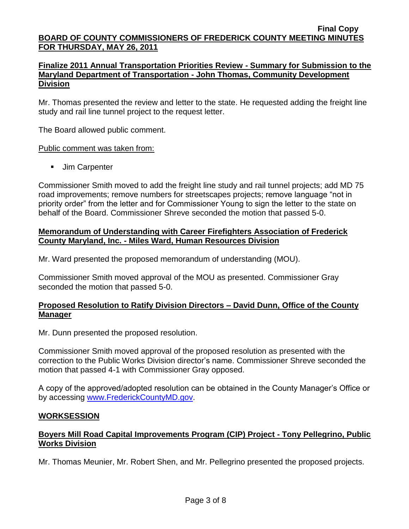### **Finalize 2011 Annual Transportation Priorities Review - Summary for Submission to the Maryland Department of Transportation - John Thomas, Community Development Division**

Mr. Thomas presented the review and letter to the state. He requested adding the freight line study and rail line tunnel project to the request letter.

The Board allowed public comment.

### Public comment was taken from:

**Jim Carpenter** 

Commissioner Smith moved to add the freight line study and rail tunnel projects; add MD 75 road improvements; remove numbers for streetscapes projects; remove language "not in priority order" from the letter and for Commissioner Young to sign the letter to the state on behalf of the Board. Commissioner Shreve seconded the motion that passed 5-0.

### **Memorandum of Understanding with Career Firefighters Association of Frederick County Maryland, Inc. - Miles Ward, Human Resources Division**

Mr. Ward presented the proposed memorandum of understanding (MOU).

Commissioner Smith moved approval of the MOU as presented. Commissioner Gray seconded the motion that passed 5-0.

## **Proposed Resolution to Ratify Division Directors – David Dunn, Office of the County Manager**

Mr. Dunn presented the proposed resolution.

Commissioner Smith moved approval of the proposed resolution as presented with the correction to the Public Works Division director's name. Commissioner Shreve seconded the motion that passed 4-1 with Commissioner Gray opposed.

A copy of the approved/adopted resolution can be obtained in the County Manager's Office or by accessing [www.FrederickCountyMD.gov.](file://NT1S5/BOCC/BOCC/BOCC%20Minutes/Mary)

### **WORKSESSION**

# **Boyers Mill Road Capital Improvements Program (CIP) Project - Tony Pellegrino, Public Works Division**

Mr. Thomas Meunier, Mr. Robert Shen, and Mr. Pellegrino presented the proposed projects.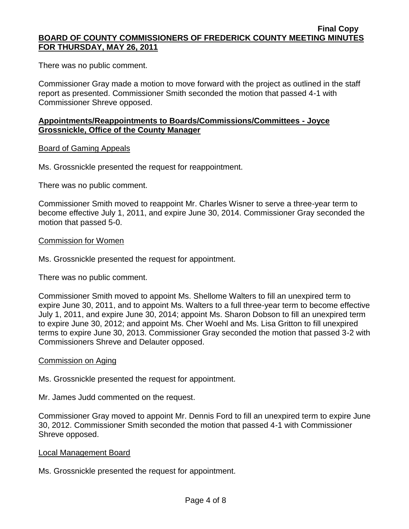There was no public comment.

Commissioner Gray made a motion to move forward with the project as outlined in the staff report as presented. Commissioner Smith seconded the motion that passed 4-1 with Commissioner Shreve opposed.

### **Appointments/Reappointments to Boards/Commissions/Committees - Joyce Grossnickle, Office of the County Manager**

### Board of Gaming Appeals

Ms. Grossnickle presented the request for reappointment.

There was no public comment.

Commissioner Smith moved to reappoint Mr. Charles Wisner to serve a three-year term to become effective July 1, 2011, and expire June 30, 2014. Commissioner Gray seconded the motion that passed 5-0.

#### Commission for Women

Ms. Grossnickle presented the request for appointment.

There was no public comment.

Commissioner Smith moved to appoint Ms. Shellome Walters to fill an unexpired term to expire June 30, 2011, and to appoint Ms. Walters to a full three-year term to become effective July 1, 2011, and expire June 30, 2014; appoint Ms. Sharon Dobson to fill an unexpired term to expire June 30, 2012; and appoint Ms. Cher Woehl and Ms. Lisa Gritton to fill unexpired terms to expire June 30, 2013. Commissioner Gray seconded the motion that passed 3-2 with Commissioners Shreve and Delauter opposed.

#### Commission on Aging

Ms. Grossnickle presented the request for appointment.

Mr. James Judd commented on the request.

Commissioner Gray moved to appoint Mr. Dennis Ford to fill an unexpired term to expire June 30, 2012. Commissioner Smith seconded the motion that passed 4-1 with Commissioner Shreve opposed.

#### Local Management Board

Ms. Grossnickle presented the request for appointment.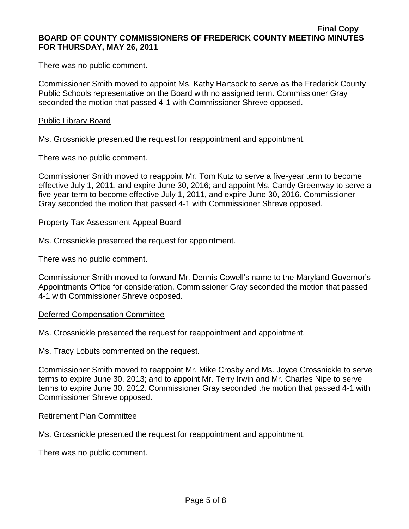There was no public comment.

Commissioner Smith moved to appoint Ms. Kathy Hartsock to serve as the Frederick County Public Schools representative on the Board with no assigned term. Commissioner Gray seconded the motion that passed 4-1 with Commissioner Shreve opposed.

### Public Library Board

Ms. Grossnickle presented the request for reappointment and appointment.

There was no public comment.

Commissioner Smith moved to reappoint Mr. Tom Kutz to serve a five-year term to become effective July 1, 2011, and expire June 30, 2016; and appoint Ms. Candy Greenway to serve a five-year term to become effective July 1, 2011, and expire June 30, 2016. Commissioner Gray seconded the motion that passed 4-1 with Commissioner Shreve opposed.

#### Property Tax Assessment Appeal Board

Ms. Grossnickle presented the request for appointment.

There was no public comment.

Commissioner Smith moved to forward Mr. Dennis Cowell's name to the Maryland Governor's Appointments Office for consideration. Commissioner Gray seconded the motion that passed 4-1 with Commissioner Shreve opposed.

#### Deferred Compensation Committee

Ms. Grossnickle presented the request for reappointment and appointment.

Ms. Tracy Lobuts commented on the request.

Commissioner Smith moved to reappoint Mr. Mike Crosby and Ms. Joyce Grossnickle to serve terms to expire June 30, 2013; and to appoint Mr. Terry Irwin and Mr. Charles Nipe to serve terms to expire June 30, 2012. Commissioner Gray seconded the motion that passed 4-1 with Commissioner Shreve opposed.

#### Retirement Plan Committee

Ms. Grossnickle presented the request for reappointment and appointment.

There was no public comment.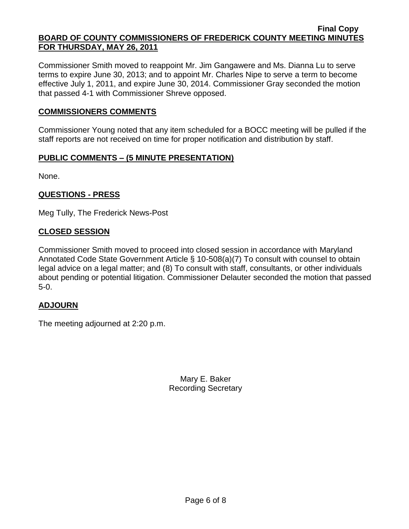Commissioner Smith moved to reappoint Mr. Jim Gangawere and Ms. Dianna Lu to serve terms to expire June 30, 2013; and to appoint Mr. Charles Nipe to serve a term to become effective July 1, 2011, and expire June 30, 2014. Commissioner Gray seconded the motion that passed 4-1 with Commissioner Shreve opposed.

### **COMMISSIONERS COMMENTS**

Commissioner Young noted that any item scheduled for a BOCC meeting will be pulled if the staff reports are not received on time for proper notification and distribution by staff.

## **PUBLIC COMMENTS – (5 MINUTE PRESENTATION)**

None.

## **QUESTIONS - PRESS**

Meg Tully, The Frederick News-Post

### **CLOSED SESSION**

Commissioner Smith moved to proceed into closed session in accordance with Maryland Annotated Code State Government Article § 10-508(a)(7) To consult with counsel to obtain legal advice on a legal matter; and (8) To consult with staff, consultants, or other individuals about pending or potential litigation. Commissioner Delauter seconded the motion that passed 5-0.

### **ADJOURN**

The meeting adjourned at 2:20 p.m.

Mary E. Baker Recording Secretary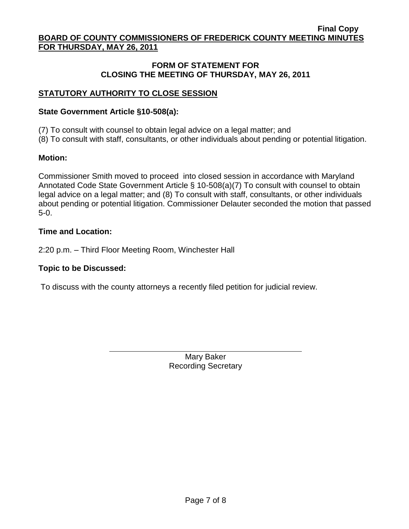# **FORM OF STATEMENT FOR CLOSING THE MEETING OF THURSDAY, MAY 26, 2011**

# **STATUTORY AUTHORITY TO CLOSE SESSION**

### **State Government Article §10-508(a):**

(7) To consult with counsel to obtain legal advice on a legal matter; and

(8) To consult with staff, consultants, or other individuals about pending or potential litigation.

## **Motion:**

Commissioner Smith moved to proceed into closed session in accordance with Maryland Annotated Code State Government Article § 10-508(a)(7) To consult with counsel to obtain legal advice on a legal matter; and (8) To consult with staff, consultants, or other individuals about pending or potential litigation. Commissioner Delauter seconded the motion that passed 5-0.

## **Time and Location:**

2:20 p.m. – Third Floor Meeting Room, Winchester Hall

# **Topic to be Discussed:**

To discuss with the county attorneys a recently filed petition for judicial review.

Mary Baker Recording Secretary